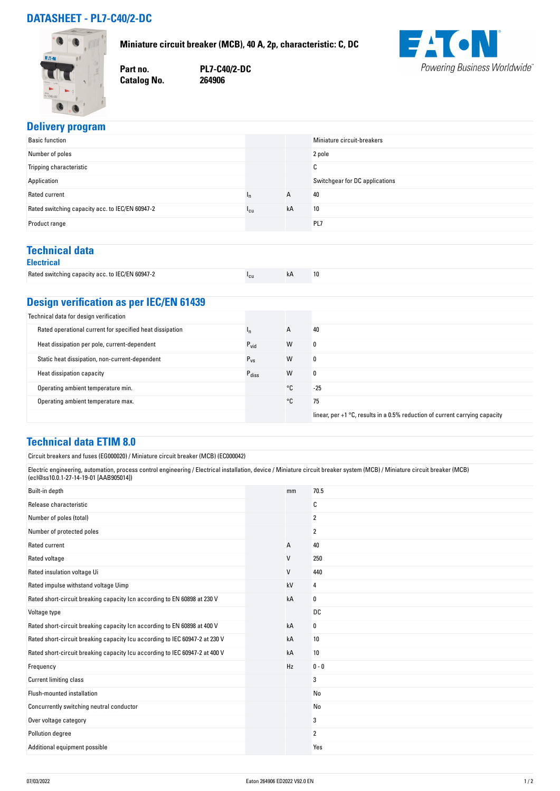# **DATASHEET - PL7-C40/2-DC**



**Miniature circuit breaker (MCB), 40 A, 2p, characteristic: C, DC**

**Part no. PL7-C40/2-DC**

**Catalog No.** 



### **Delivery program**

|                 |    | Miniature circuit-breakers     |
|-----------------|----|--------------------------------|
|                 |    | 2 pole                         |
|                 |    | $\sim$<br>v                    |
|                 |    | Switchgear for DC applications |
| In              | A  | 40                             |
| <sup>1</sup> cu | kA | 10                             |
|                 |    | PL7                            |
|                 |    |                                |

#### **Technical data Electrical**

| ----------                                      |        |    |    |
|-------------------------------------------------|--------|----|----|
| Rated switching capacity acc. to IEC/EN 60947-2 | $\sim$ | kA | 10 |

# **Design verification as per IEC/EN 61439**

| Technical data for design verification                   |                   |    |                                                                                        |
|----------------------------------------------------------|-------------------|----|----------------------------------------------------------------------------------------|
| Rated operational current for specified heat dissipation | In.               | A  | 40                                                                                     |
| Heat dissipation per pole, current-dependent             | $P_{\text{vid}}$  | W  | 0                                                                                      |
| Static heat dissipation, non-current-dependent           | $P_{VS}$          | W  | 0                                                                                      |
| Heat dissipation capacity                                | $P_{\text{diss}}$ | W  | 0                                                                                      |
| Operating ambient temperature min.                       |                   | °C | $-25$                                                                                  |
| Operating ambient temperature max.                       |                   | °C | 75                                                                                     |
|                                                          |                   |    | linear, per $+1$ $\degree$ C, results in a 0.5% reduction of current carrying capacity |

### **Technical data ETIM 8.0**

| 70.5<br>mm<br>С<br>2<br>2<br>А<br>40<br>V<br>250<br>V<br>440<br>kV<br>4<br>kA<br>0<br><b>DC</b><br>0<br>kA<br>10<br>kA<br>10<br>kA<br>Hz<br>$0 - 0$<br>3<br>No<br>No<br>3<br>Pollution degree<br>2<br>Yes | Circuit breakers and fuses (EG000020) / Miniature circuit breaker (MCB) (EC000042)                                                                                                                                   |  |  |  |
|-----------------------------------------------------------------------------------------------------------------------------------------------------------------------------------------------------------|----------------------------------------------------------------------------------------------------------------------------------------------------------------------------------------------------------------------|--|--|--|
|                                                                                                                                                                                                           | Electric engineering, automation, process control engineering / Electrical installation, device / Miniature circuit breaker system (MCB) / Miniature circuit breaker (MCB)<br>(ecl@ss10.0.1-27-14-19-01 [AAB905014]) |  |  |  |
|                                                                                                                                                                                                           | Built-in depth                                                                                                                                                                                                       |  |  |  |
|                                                                                                                                                                                                           | Release characteristic                                                                                                                                                                                               |  |  |  |
|                                                                                                                                                                                                           | Number of poles (total)                                                                                                                                                                                              |  |  |  |
|                                                                                                                                                                                                           | Number of protected poles                                                                                                                                                                                            |  |  |  |
|                                                                                                                                                                                                           | Rated current                                                                                                                                                                                                        |  |  |  |
|                                                                                                                                                                                                           | Rated voltage                                                                                                                                                                                                        |  |  |  |
|                                                                                                                                                                                                           | Rated insulation voltage Ui                                                                                                                                                                                          |  |  |  |
|                                                                                                                                                                                                           | Rated impulse withstand voltage Uimp                                                                                                                                                                                 |  |  |  |
|                                                                                                                                                                                                           | Rated short-circuit breaking capacity Icn according to EN 60898 at 230 V                                                                                                                                             |  |  |  |
|                                                                                                                                                                                                           | Voltage type                                                                                                                                                                                                         |  |  |  |
|                                                                                                                                                                                                           | Rated short-circuit breaking capacity Icn according to EN 60898 at 400 V                                                                                                                                             |  |  |  |
|                                                                                                                                                                                                           | Rated short-circuit breaking capacity Icu according to IEC 60947-2 at 230 V                                                                                                                                          |  |  |  |
|                                                                                                                                                                                                           | Rated short-circuit breaking capacity Icu according to IEC 60947-2 at 400 V                                                                                                                                          |  |  |  |
|                                                                                                                                                                                                           | Frequency                                                                                                                                                                                                            |  |  |  |
|                                                                                                                                                                                                           | <b>Current limiting class</b>                                                                                                                                                                                        |  |  |  |
|                                                                                                                                                                                                           | Flush-mounted installation                                                                                                                                                                                           |  |  |  |
|                                                                                                                                                                                                           | Concurrently switching neutral conductor                                                                                                                                                                             |  |  |  |
|                                                                                                                                                                                                           | Over voltage category                                                                                                                                                                                                |  |  |  |
|                                                                                                                                                                                                           |                                                                                                                                                                                                                      |  |  |  |
|                                                                                                                                                                                                           | Additional equipment possible                                                                                                                                                                                        |  |  |  |